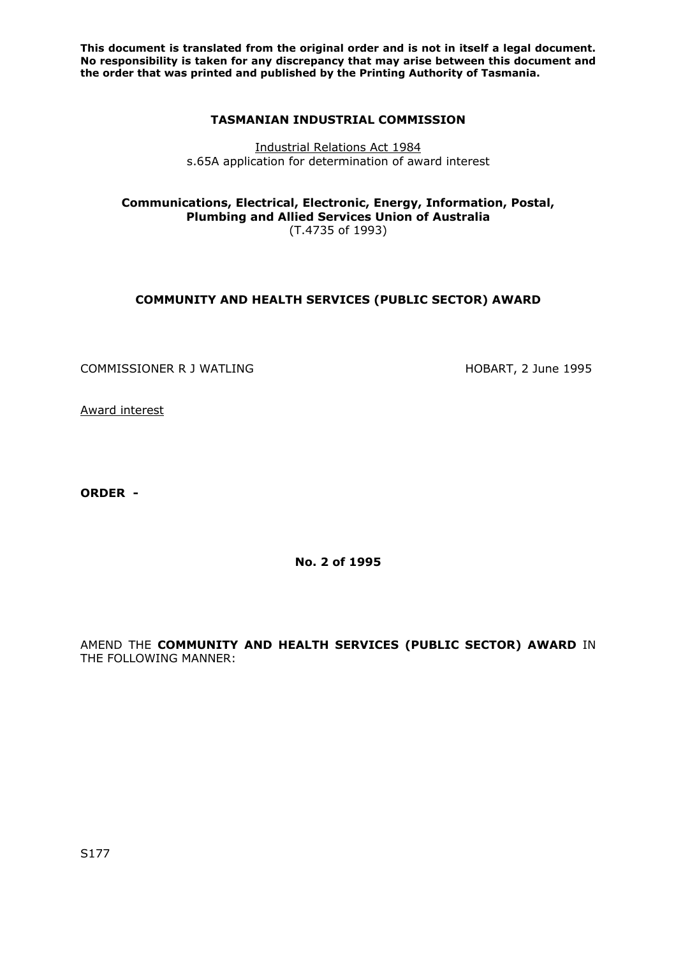**This document is translated from the original order and is not in itself a legal document. No responsibility is taken for any discrepancy that may arise between this document and the order that was printed and published by the Printing Authority of Tasmania.** 

## **TASMANIAN INDUSTRIAL COMMISSION**

Industrial Relations Act 1984 s.65A application for determination of award interest

**Communications, Electrical, Electronic, Energy, Information, Postal, Plumbing and Allied Services Union of Australia**  (T.4735 of 1993)

# **COMMUNITY AND HEALTH SERVICES (PUBLIC SECTOR) AWARD**

COMMISSIONER R J WATLING **HOBART, 2 June 1995** 

Award interest

**ORDER -** 

**No. 2 of 1995** 

AMEND THE **COMMUNITY AND HEALTH SERVICES (PUBLIC SECTOR) AWARD** IN THE FOLLOWING MANNER: